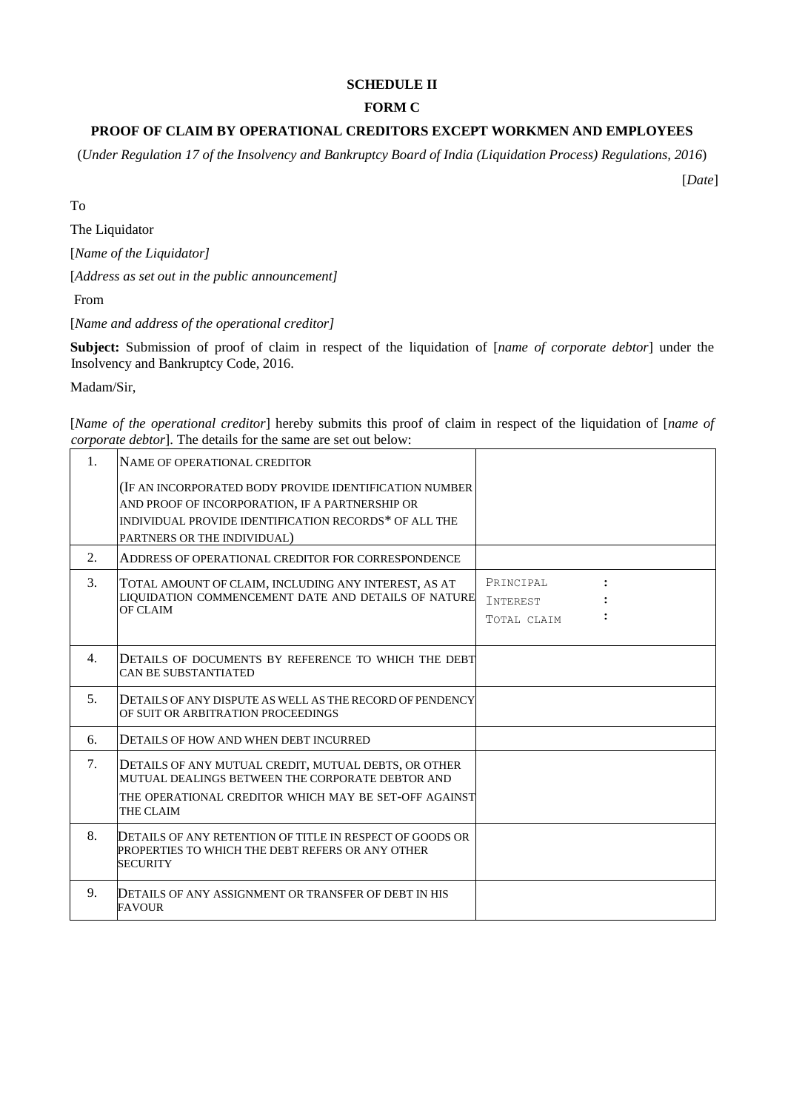# **SCHEDULE II**

## **FORM C**

# **PROOF OF CLAIM BY OPERATIONAL CREDITORS EXCEPT WORKMEN AND EMPLOYEES**

(*Under Regulation 17 of the Insolvency and Bankruptcy Board of India (Liquidation Process) Regulations, 2016*)

[*Date*]

To

The Liquidator

[*Name of the Liquidator]* 

[*Address as set out in the public announcement]*

From

[*Name and address of the operational creditor]* 

**Subject:** Submission of proof of claim in respect of the liquidation of [*name of corporate debtor*] under the Insolvency and Bankruptcy Code, 2016.

Madam/Sir,

[*Name of the operational creditor*] hereby submits this proof of claim in respect of the liquidation of [*name of corporate debtor*]. The details for the same are set out below:

| 1. | NAME OF OPERATIONAL CREDITOR                                                                                                                                                                       |                                             |  |
|----|----------------------------------------------------------------------------------------------------------------------------------------------------------------------------------------------------|---------------------------------------------|--|
|    | (IF AN INCORPORATED BODY PROVIDE IDENTIFICATION NUMBER)<br>AND PROOF OF INCORPORATION, IF A PARTNERSHIP OR<br>INDIVIDUAL PROVIDE IDENTIFICATION RECORDS* OF ALL THE<br>PARTNERS OR THE INDIVIDUAL) |                                             |  |
| 2. | ADDRESS OF OPERATIONAL CREDITOR FOR CORRESPONDENCE                                                                                                                                                 |                                             |  |
| 3. | TOTAL AMOUNT OF CLAIM, INCLUDING ANY INTEREST, AS AT<br>LIQUIDATION COMMENCEMENT DATE AND DETAILS OF NATURE<br>OF CLAIM                                                                            | PRINCIPAL<br><b>INTEREST</b><br>TOTAL CLAIM |  |
| 4. | DETAILS OF DOCUMENTS BY REFERENCE TO WHICH THE DEBT<br><b>CAN BE SUBSTANTIATED</b>                                                                                                                 |                                             |  |
| 5. | DETAILS OF ANY DISPUTE AS WELL AS THE RECORD OF PENDENCY<br>OF SUIT OR ARBITRATION PROCEEDINGS                                                                                                     |                                             |  |
| б. | DETAILS OF HOW AND WHEN DEBT INCURRED                                                                                                                                                              |                                             |  |
| 7. | DETAILS OF ANY MUTUAL CREDIT, MUTUAL DEBTS, OR OTHER<br>MUTUAL DEALINGS BETWEEN THE CORPORATE DEBTOR AND<br>THE OPERATIONAL CREDITOR WHICH MAY BE SET-OFF AGAINST<br>THE CLAIM                     |                                             |  |
| 8. | DETAILS OF ANY RETENTION OF TITLE IN RESPECT OF GOODS OR<br>PROPERTIES TO WHICH THE DEBT REFERS OR ANY OTHER<br><b>SECURITY</b>                                                                    |                                             |  |
| 9. | DETAILS OF ANY ASSIGNMENT OR TRANSFER OF DEBT IN HIS<br><b>FAVOUR</b>                                                                                                                              |                                             |  |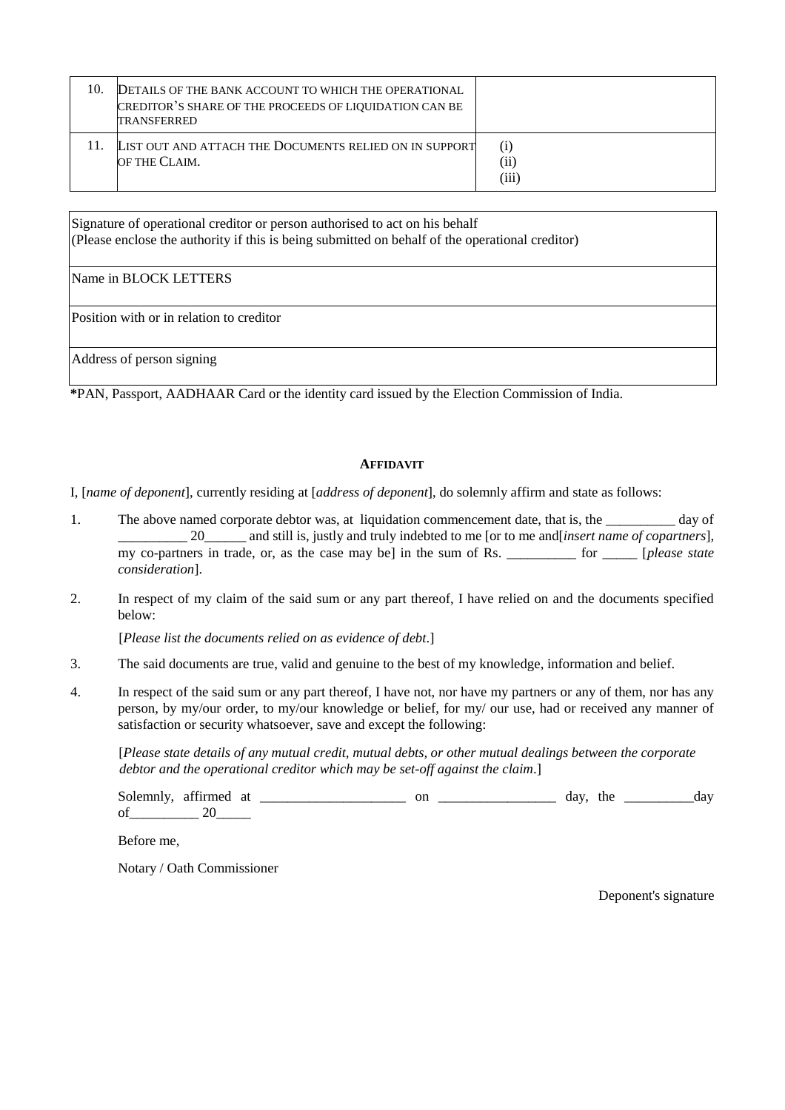| 10. | DETAILS OF THE BANK ACCOUNT TO WHICH THE OPERATIONAL<br>CREDITOR'S SHARE OF THE PROCEEDS OF LIQUIDATION CAN BE<br><b>TRANSFERRED</b> |                      |
|-----|--------------------------------------------------------------------------------------------------------------------------------------|----------------------|
|     | LIST OUT AND ATTACH THE DOCUMENTS RELIED ON IN SUPPORT<br>OF THE CLAIM.                                                              | (i)<br>(ii)<br>(iii) |

Signature of operational creditor or person authorised to act on his behalf (Please enclose the authority if this is being submitted on behalf of the operational creditor)

### Name in BLOCK LETTERS

Position with or in relation to creditor

Address of person signing

**\***PAN, Passport, AADHAAR Card or the identity card issued by the Election Commission of India.

#### **AFFIDAVIT**

I, [*name of deponent*], currently residing at [*address of deponent*], do solemnly affirm and state as follows:

- 1. The above named corporate debtor was, at liquidation commencement date, that is, the \_\_\_\_\_\_\_\_\_ day of \_\_\_\_\_\_\_\_\_\_ 20\_\_\_\_\_\_ and still is, justly and truly indebted to me [or to me and[*insert name of copartners*]*,*  my co-partners in trade, or, as the case may be] in the sum of Rs. \_\_\_\_\_\_\_\_\_\_ for \_\_\_\_\_ [*please state consideration*].
- 2. In respect of my claim of the said sum or any part thereof, I have relied on and the documents specified below:

[*Please list the documents relied on as evidence of debt*.]

- 3. The said documents are true, valid and genuine to the best of my knowledge, information and belief.
- 4. In respect of the said sum or any part thereof, I have not, nor have my partners or any of them, nor has any person, by my/our order, to my/our knowledge or belief, for my/ our use, had or received any manner of satisfaction or security whatsoever, save and except the following:

[*Please state details of any mutual credit, mutual debts, or other mutual dealings between the corporate debtor and the operational creditor which may be set-off against the claim*.]

Solemnly, affirmed at \_\_\_\_\_\_\_\_\_\_\_\_\_\_\_\_\_\_\_\_\_ on \_\_\_\_\_\_\_\_\_\_\_\_\_\_\_\_\_ day, the \_\_\_\_\_\_\_\_\_\_day of 20

Before me,

Notary / Oath Commissioner

Deponent's signature